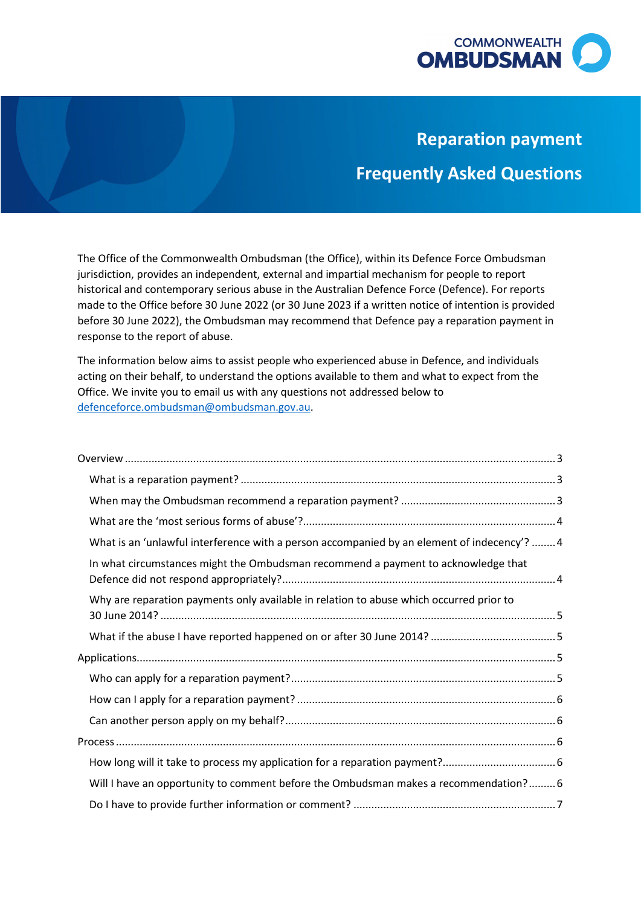

# **Reparation payment Frequently Asked Questions**

 made to the Office before 30 June 2022 (or 30 June 2023 if a written notice of intention is provided before 30 June 2022), the Ombudsman may recommend that Defence pay a reparation payment in The Office of the Commonwealth Ombudsman (the Office), within its Defence Force Ombudsman jurisdiction, provides an independent, external and impartial mechanism for people to report historical and contemporary serious abuse in the Australian Defence Force (Defence). For reports response to the report of abuse.

 Office. We invite you to email us with any questions not addressed below to The information below aims to assist people who experienced abuse in Defence, and individuals acting on their behalf, to understand the options available to them and what to expect from the [defenceforce.ombudsman@ombudsman.gov.au.](mailto:defenceforce.ombudsman@ombudsman.gov.au)

| What is an 'unlawful interference with a person accompanied by an element of indecency'? 4 |  |
|--------------------------------------------------------------------------------------------|--|
| In what circumstances might the Ombudsman recommend a payment to acknowledge that          |  |
| Why are reparation payments only available in relation to abuse which occurred prior to    |  |
|                                                                                            |  |
|                                                                                            |  |
|                                                                                            |  |
|                                                                                            |  |
|                                                                                            |  |
|                                                                                            |  |
|                                                                                            |  |
| Will I have an opportunity to comment before the Ombudsman makes a recommendation? 6       |  |
|                                                                                            |  |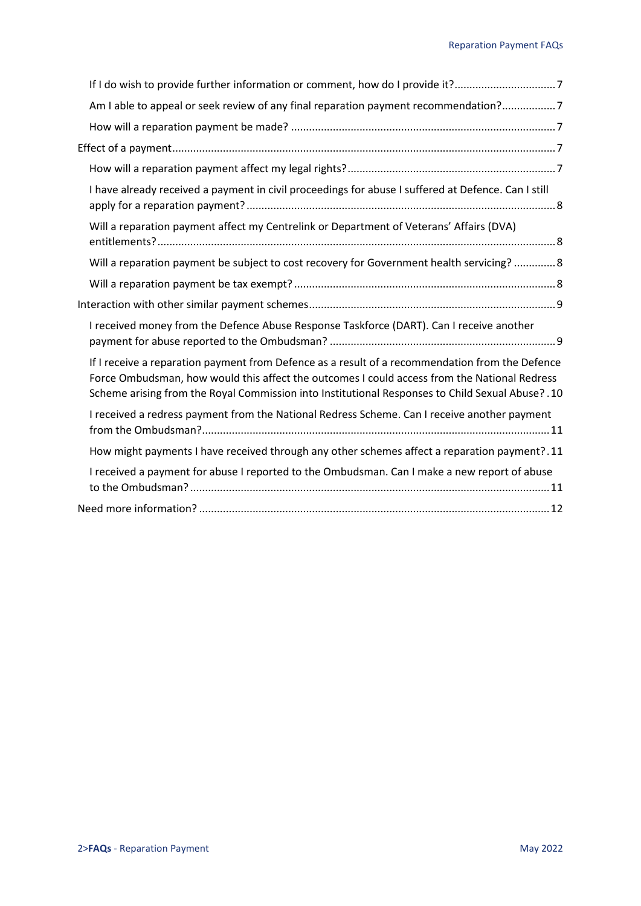| If I do wish to provide further information or comment, how do I provide it?7                                                                                                                                                                                                                        |  |
|------------------------------------------------------------------------------------------------------------------------------------------------------------------------------------------------------------------------------------------------------------------------------------------------------|--|
| Am I able to appeal or seek review of any final reparation payment recommendation?7                                                                                                                                                                                                                  |  |
|                                                                                                                                                                                                                                                                                                      |  |
|                                                                                                                                                                                                                                                                                                      |  |
|                                                                                                                                                                                                                                                                                                      |  |
| I have already received a payment in civil proceedings for abuse I suffered at Defence. Can I still                                                                                                                                                                                                  |  |
| Will a reparation payment affect my Centrelink or Department of Veterans' Affairs (DVA)                                                                                                                                                                                                              |  |
| Will a reparation payment be subject to cost recovery for Government health servicing?  8                                                                                                                                                                                                            |  |
|                                                                                                                                                                                                                                                                                                      |  |
|                                                                                                                                                                                                                                                                                                      |  |
| I received money from the Defence Abuse Response Taskforce (DART). Can I receive another                                                                                                                                                                                                             |  |
| If I receive a reparation payment from Defence as a result of a recommendation from the Defence<br>Force Ombudsman, how would this affect the outcomes I could access from the National Redress<br>Scheme arising from the Royal Commission into Institutional Responses to Child Sexual Abuse? . 10 |  |
| I received a redress payment from the National Redress Scheme. Can I receive another payment                                                                                                                                                                                                         |  |
| How might payments I have received through any other schemes affect a reparation payment?.11                                                                                                                                                                                                         |  |
| I received a payment for abuse I reported to the Ombudsman. Can I make a new report of abuse                                                                                                                                                                                                         |  |
|                                                                                                                                                                                                                                                                                                      |  |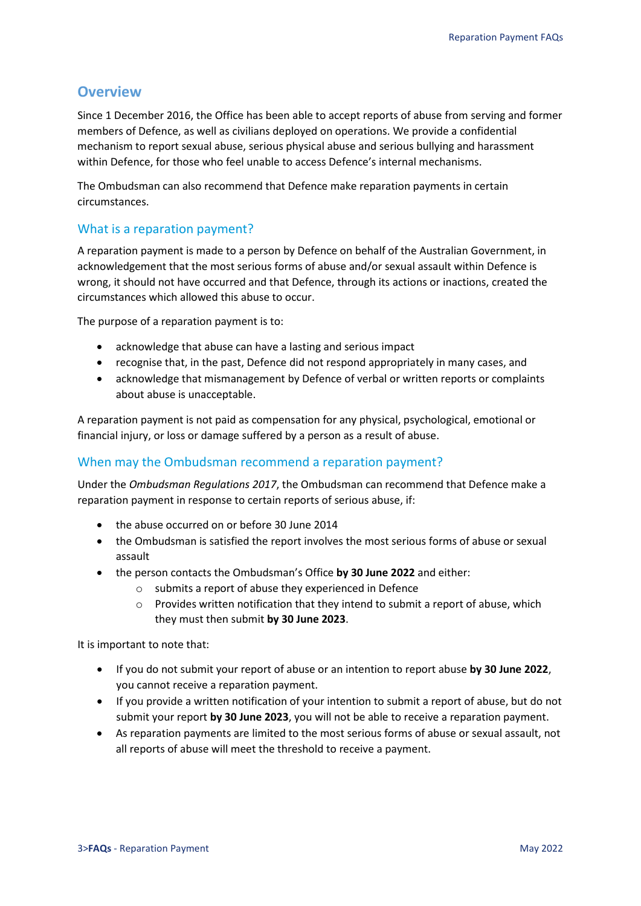# <span id="page-2-0"></span>**Overview**

 Since 1 December 2016, the Office has been able to accept reports of abuse from serving and former members of Defence, as well as civilians deployed on operations. We provide a confidential mechanism to report sexual abuse, serious physical abuse and serious bullying and harassment within Defence, for those who feel unable to access Defence's internal mechanisms.

The Ombudsman can also recommend that Defence make reparation payments in certain circumstances.

## <span id="page-2-1"></span>What is a reparation payment?

 A reparation payment is made to a person by Defence on behalf of the Australian Government, in acknowledgement that the most serious forms of abuse and/or sexual assault within Defence is wrong, it should not have occurred and that Defence, through its actions or inactions, created the circumstances which allowed this abuse to occur.

The purpose of a reparation payment is to:

- acknowledge that abuse can have a lasting and serious impact
- recognise that, in the past, Defence did not respond appropriately in many cases, and
- • acknowledge that mismanagement by Defence of verbal or written reports or complaints about abuse is unacceptable.

 financial injury, or loss or damage suffered by a person as a result of abuse. A reparation payment is not paid as compensation for any physical, psychological, emotional or

#### <span id="page-2-2"></span>When may the Ombudsman recommend a reparation payment?

 reparation payment in response to certain reports of serious abuse, if: Under the *Ombudsman Regulations 2017*, the Ombudsman can recommend that Defence make a

- the abuse occurred on or before 30 June 2014
- the Ombudsman is satisfied the report involves the most serious forms of abuse or sexual assault
- the person contacts the Ombudsman's Office **by 30 June 2022** and either:
	- o submits a report of abuse they experienced in Defence
	- they must then submit **by 30 June 2023**.  $\circ$  Provides written notification that they intend to submit a report of abuse, which

It is important to note that:

- • If you do not submit your report of abuse or an intention to report abuse **by 30 June 2022**, you cannot receive a reparation payment.
- • If you provide a written notification of your intention to submit a report of abuse, but do not submit your report **by 30 June 2023**, you will not be able to receive a reparation payment.
- • As reparation payments are limited to the most serious forms of abuse or sexual assault, not all reports of abuse will meet the threshold to receive a payment.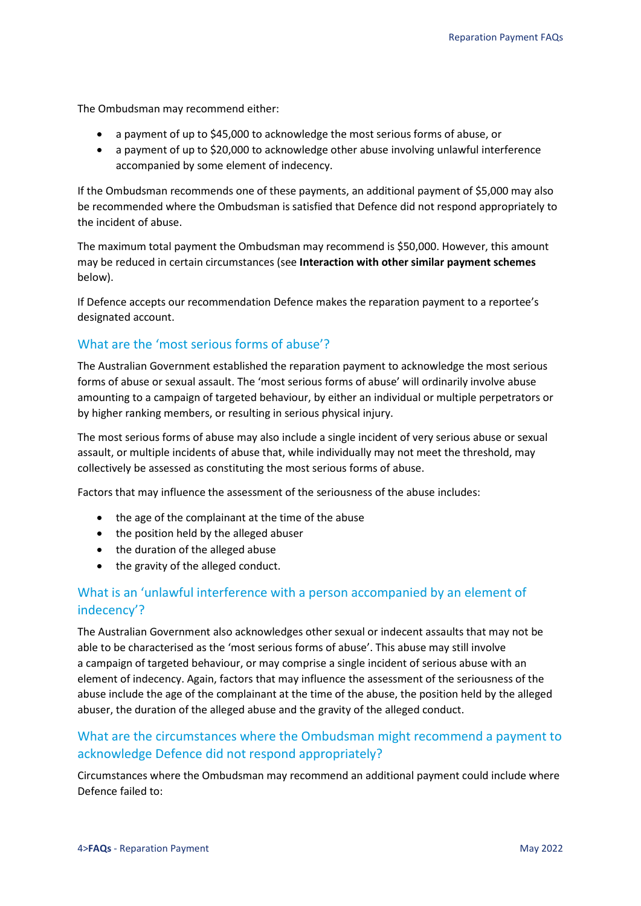The Ombudsman may recommend either:

- a payment of up to \$45,000 to acknowledge the most serious forms of abuse, or
- • a payment of up to \$20,000 to acknowledge other abuse involving unlawful interference accompanied by some element of indecency.

 If the Ombudsman recommends one of these payments, an additional payment of \$5,000 may also be recommended where the Ombudsman is satisfied that Defence did not respond appropriately to the incident of abuse.

 The maximum total payment the Ombudsman may recommend is \$50,000. However, this amount may be reduced in certain circumstances (see **Interaction with other similar payment schemes**  below).

 If Defence accepts our recommendation Defence makes the reparation payment to a reportee's designated account.

## <span id="page-3-0"></span>What are the 'most serious forms of abuse'?

 forms of abuse or sexual assault. The 'most serious forms of abuse' will ordinarily involve abuse The Australian Government established the reparation payment to acknowledge the most serious amounting to a campaign of targeted behaviour, by either an individual or multiple perpetrators or by higher ranking members, or resulting in serious physical injury.

 assault, or multiple incidents of abuse that, while individually may not meet the threshold, may collectively be assessed as constituting the most serious forms of abuse. The most serious forms of abuse may also include a single incident of very serious abuse or sexual

Factors that may influence the assessment of the seriousness of the abuse includes:

- the age of the complainant at the time of the abuse
- the position held by the alleged abuser
- the duration of the alleged abuse
- the gravity of the alleged conduct.

# <span id="page-3-1"></span> What is an 'unlawful interference with a person accompanied by an element of indecency'?

 The Australian Government also acknowledges other sexual or indecent assaults that may not be able to be characterised as the 'most serious forms of abuse'. This abuse may still involve element of indecency. Again, factors that may influence the assessment of the seriousness of the abuser, the duration of the alleged abuse and the gravity of the alleged conduct. a campaign of targeted behaviour, or may comprise a single incident of serious abuse with an abuse include the age of the complainant at the time of the abuse, the position held by the alleged

# <span id="page-3-2"></span> What are the circumstances where the Ombudsman might recommend a payment to acknowledge Defence did not respond appropriately?

Circumstances where the Ombudsman may recommend an additional payment could include where Defence failed to: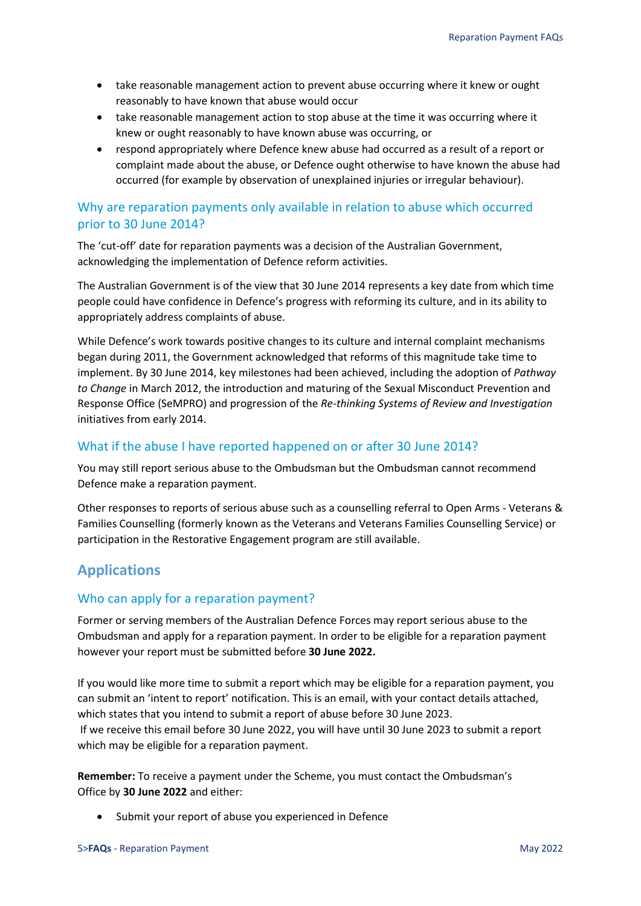- reasonably to have known that abuse would occur • take reasonable management action to prevent abuse occurring where it knew or ought
- knew or ought reasonably to have known abuse was occurring, or • take reasonable management action to stop abuse at the time it was occurring where it
- • respond appropriately where Defence knew abuse had occurred as a result of a report or complaint made about the abuse, or Defence ought otherwise to have known the abuse had occurred (for example by observation of unexplained injuries or irregular behaviour).

# <span id="page-4-0"></span> prior to 30 June 2014? Why are reparation payments only available in relation to abuse which occurred

The 'cut-off' date for reparation payments was a decision of the Australian Government, acknowledging the implementation of Defence reform activities.

 The Australian Government is of the view that 30 June 2014 represents a key date from which time people could have confidence in Defence's progress with reforming its culture, and in its ability to appropriately address complaints of abuse.

 While Defence's work towards positive changes to its culture and internal complaint mechanisms began during 2011, the Government acknowledged that reforms of this magnitude take time to implement. By 30 June 2014, key milestones had been achieved, including the adoption of *Pathway to Change* in March 2012, the introduction and maturing of the Sexual Misconduct Prevention and Response Office (SeMPRO) and progression of the *Re-thinking Systems of Review and Investigation*  initiatives from early 2014.

## <span id="page-4-1"></span>What if the abuse I have reported happened on or after 30 June 2014?

You may still report serious abuse to the Ombudsman but the Ombudsman cannot recommend Defence make a reparation payment.

 participation in the Restorative Engagement program are still available. Other responses to reports of serious abuse such as a counselling referral to Open Arms - Veterans & Families Counselling (formerly known as the Veterans and Veterans Families Counselling Service) or

# <span id="page-4-2"></span>**Applications**

# <span id="page-4-3"></span>Who can apply for a reparation payment?

 Former or serving members of the Australian Defence Forces may report serious abuse to the Ombudsman and apply for a reparation payment. In order to be eligible for a reparation payment however your report must be submitted before **30 June 2022.** 

 If you would like more time to submit a report which may be eligible for a reparation payment, you can submit an 'intent to report' notification. This is an email, with your contact details attached, If we receive this email before 30 June 2022, you will have until 30 June 2023 to submit a report which states that you intend to submit a report of abuse before 30 June 2023. which may be eligible for a reparation payment.

**Remember:** To receive a payment under the Scheme, you must contact the Ombudsman's Office by **30 June 2022** and either:

• Submit your report of abuse you experienced in Defence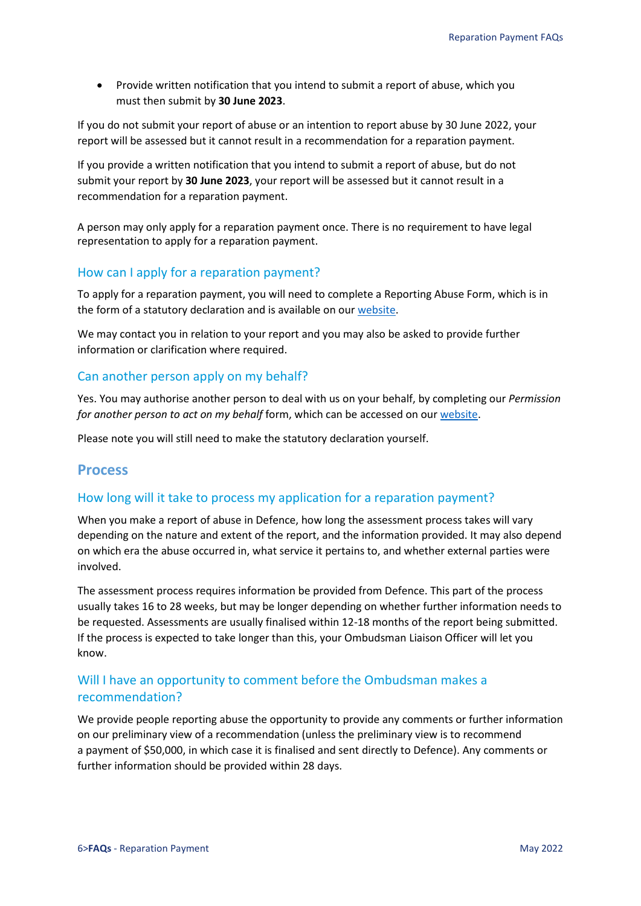• Provide written notification that you intend to submit a report of abuse, which you must then submit by **30 June 2023**.

 If you do not submit your report of abuse or an intention to report abuse by 30 June 2022, your report will be assessed but it cannot result in a recommendation for a reparation payment.

 If you provide a written notification that you intend to submit a report of abuse, but do not submit your report by **30 June 2023**, your report will be assessed but it cannot result in a recommendation for a reparation payment.

 A person may only apply for a reparation payment once. There is no requirement to have legal representation to apply for a reparation payment.

### <span id="page-5-0"></span>How can I apply for a reparation payment?

the form of a statutory declaration and is available on our [website.](https://www.ombudsman.gov.au/How-we-can-help/australian-defence-force/reporting-abuse-in-defence) To apply for a reparation payment, you will need to complete a Reporting Abuse Form, which is in

We may contact you in relation to your report and you may also be asked to provide further information or clarification where required.

#### <span id="page-5-1"></span>Can another person apply on my behalf?

 *for another person to act on my behalf* form, which can be accessed on our [website.](http://www.ombudsman.gov.au/__data/assets/pdf_file/0018/24408/obo_form.pdf) Yes. You may authorise another person to deal with us on your behalf, by completing our *Permission* 

Please note you will still need to make the statutory declaration yourself.

#### <span id="page-5-2"></span>**Process**

#### <span id="page-5-3"></span>How long will it take to process my application for a reparation payment?

 When you make a report of abuse in Defence, how long the assessment process takes will vary on which era the abuse occurred in, what service it pertains to, and whether external parties were depending on the nature and extent of the report, and the information provided. It may also depend involved.

 The assessment process requires information be provided from Defence. This part of the process usually takes 16 to 28 weeks, but may be longer depending on whether further information needs to be requested. Assessments are usually finalised within 12-18 months of the report being submitted. If the process is expected to take longer than this, your Ombudsman Liaison Officer will let you know.

# <span id="page-5-4"></span>Will I have an opportunity to comment before the Ombudsman makes a recommendation?

 We provide people reporting abuse the opportunity to provide any comments or further information on our preliminary view of a recommendation (unless the preliminary view is to recommend a payment of \$50,000, in which case it is finalised and sent directly to Defence). Any comments or further information should be provided within 28 days.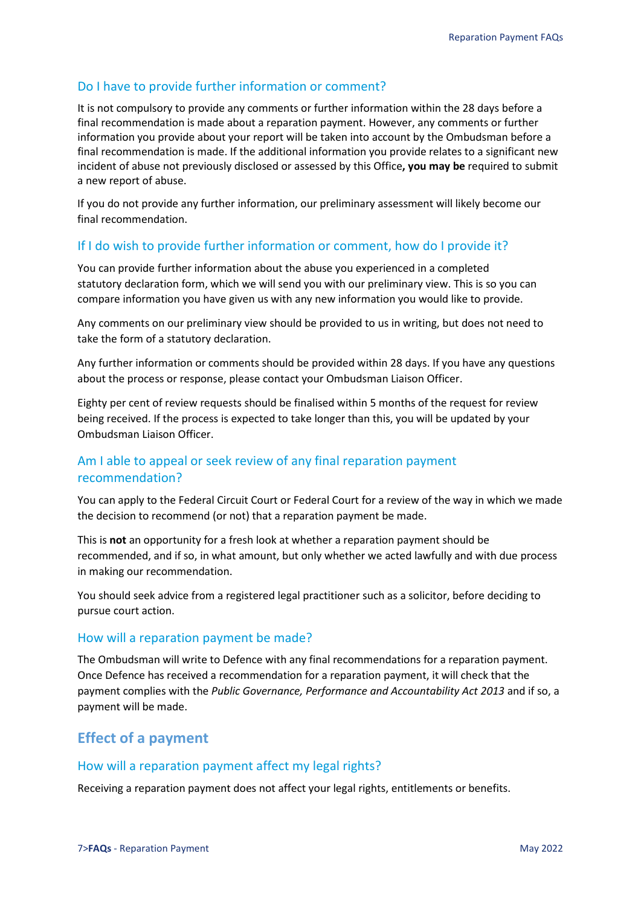## <span id="page-6-0"></span>Do I have to provide further information or comment?

 final recommendation is made about a reparation payment. However, any comments or further information you provide about your report will be taken into account by the Ombudsman before a It is not compulsory to provide any comments or further information within the 28 days before a final recommendation is made. If the additional information you provide relates to a significant new incident of abuse not previously disclosed or assessed by this Office**, you may be** required to submit a new report of abuse.

If you do not provide any further information, our preliminary assessment will likely become our final recommendation.

## <span id="page-6-1"></span>If I do wish to provide further information or comment, how do I provide it?

 You can provide further information about the abuse you experienced in a completed compare information you have given us with any new information you would like to provide. statutory declaration form, which we will send you with our preliminary view. This is so you can

compare information you have given us with any new information you would like to provide.<br>Any comments on our preliminary view should be provided to us in writing, but does not need to take the form of a statutory declaration.

 Any further information or comments should be provided within 28 days. If you have any questions about the process or response, please contact your Ombudsman Liaison Officer.

 Eighty per cent of review requests should be finalised within 5 months of the request for review Ombudsman Liaison Officer. being received. If the process is expected to take longer than this, you will be updated by your

# <span id="page-6-2"></span>Am I able to appeal or seek review of any final reparation payment recommendation?

 You can apply to the Federal Circuit Court or Federal Court for a review of the way in which we made the decision to recommend (or not) that a reparation payment be made.

This is **not** an opportunity for a fresh look at whether a reparation payment should be recommended, and if so, in what amount, but only whether we acted lawfully and with due process in making our recommendation.

You should seek advice from a registered legal practitioner such as a solicitor, before deciding to pursue court action.

#### <span id="page-6-3"></span>How will a reparation payment be made?

 payment will be made. The Ombudsman will write to Defence with any final recommendations for a reparation payment. Once Defence has received a recommendation for a reparation payment, it will check that the payment complies with the *Public Governance, Performance and Accountability Act 2013* and if so, a

# <span id="page-6-4"></span>**Effect of a payment**

#### <span id="page-6-5"></span>How will a reparation payment affect my legal rights?

Receiving a reparation payment does not affect your legal rights, entitlements or benefits.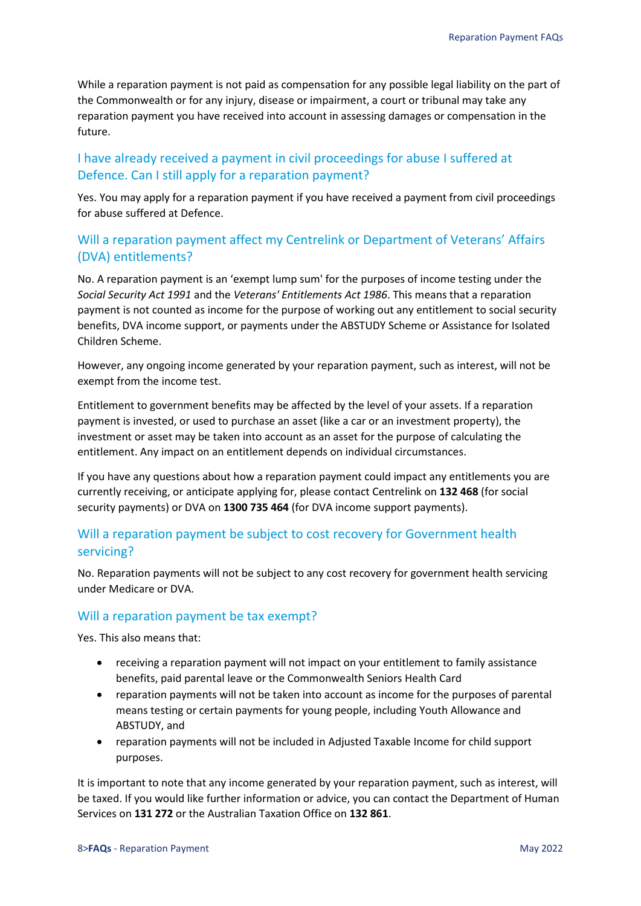the Commonwealth or for any injury, disease or impairment, a court or tribunal may take any reparation payment you have received into account in assessing damages or compensation in the While a reparation payment is not paid as compensation for any possible legal liability on the part of future.

# <span id="page-7-0"></span> I have already received a payment in civil proceedings for abuse I suffered at Defence. Can I still apply for a reparation payment?

Yes. You may apply for a reparation payment if you have received a payment from civil proceedings for abuse suffered at Defence.

# <span id="page-7-1"></span> Will a reparation payment affect my Centrelink or Department of Veterans' Affairs (DVA) entitlements?

 No. A reparation payment is an 'exempt lump sum' for the purposes of income testing under the  *Social Security Act 1991* and the *Veterans' Entitlements Act 1986*. This means that a reparation payment is not counted as income for the purpose of working out any entitlement to social security benefits, DVA income support, or payments under the ABSTUDY Scheme or Assistance for Isolated Children Scheme.

However, any ongoing income generated by your reparation payment, such as interest, will not be exempt from the income test.

 Entitlement to government benefits may be affected by the level of your assets. If a reparation investment or asset may be taken into account as an asset for the purpose of calculating the payment is invested, or used to purchase an asset (like a car or an investment property), the entitlement. Any impact on an entitlement depends on individual circumstances.

 currently receiving, or anticipate applying for, please contact Centrelink on **132 468** (for social If you have any questions about how a reparation payment could impact any entitlements you are security payments) or DVA on **1300 735 464** (for DVA income support payments).

# <span id="page-7-2"></span>Will a reparation payment be subject to cost recovery for Government health servicing?

 No. Reparation payments will not be subject to any cost recovery for government health servicing under Medicare or DVA.

#### <span id="page-7-3"></span>Will a reparation payment be tax exempt?

Yes. This also means that:

- receiving a reparation payment will not impact on your entitlement to family assistance benefits, paid parental leave or the Commonwealth Seniors Health Card
- reparation payments will not be taken into account as income for the purposes of parental means testing or certain payments for young people, including Youth Allowance and ABSTUDY, and
- reparation payments will not be included in Adjusted Taxable Income for child support purposes.

 be taxed. If you would like further information or advice, you can contact the Department of Human It is important to note that any income generated by your reparation payment, such as interest, will Services on **131 272** or the Australian Taxation Office on **132 861**.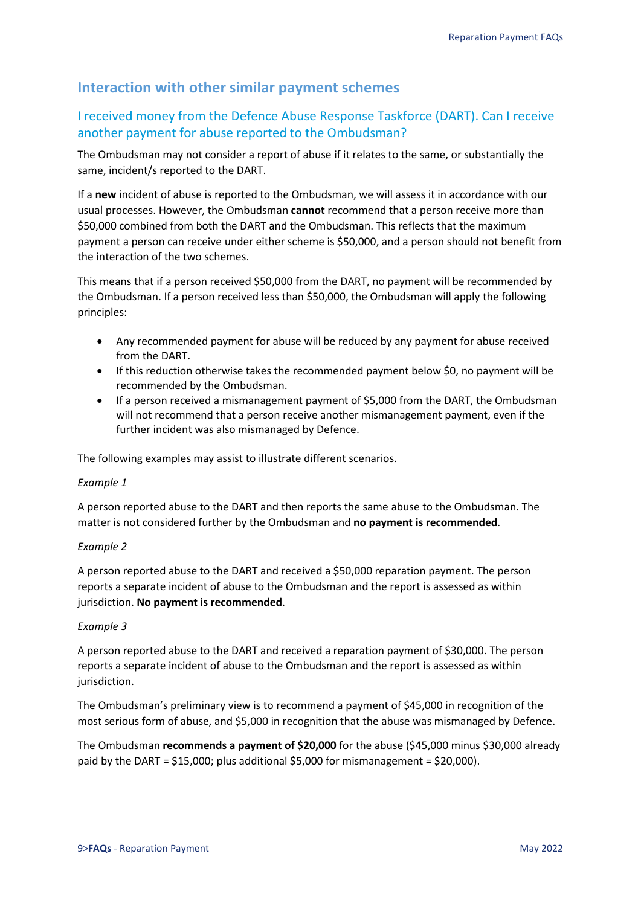# <span id="page-8-0"></span>**Interaction with other similar payment schemes**

# <span id="page-8-1"></span>I received money from the Defence Abuse Response Taskforce (DART). Can I receive another payment for abuse reported to the Ombudsman?

 The Ombudsman may not consider a report of abuse if it relates to the same, or substantially the same, incident/s reported to the DART.

 If a **new** incident of abuse is reported to the Ombudsman, we will assess it in accordance with our usual processes. However, the Ombudsman **cannot** recommend that a person receive more than \$50,000 combined from both the DART and the Ombudsman. This reflects that the maximum payment a person can receive under either scheme is \$50,000, and a person should not benefit from the interaction of the two schemes.

This means that if a person received \$50,000 from the DART, no payment will be recommended by the Ombudsman. If a person received less than \$50,000, the Ombudsman will apply the following principles:

- Any recommended payment for abuse will be reduced by any payment for abuse received from the DART.
- • If this reduction otherwise takes the recommended payment below \$0, no payment will be recommended by the Ombudsman.
- further incident was also mismanaged by Defence. • If a person received a mismanagement payment of \$5,000 from the DART, the Ombudsman will not recommend that a person receive another mismanagement payment, even if the

The following examples may assist to illustrate different scenarios.

#### *Example 1*

 matter is not considered further by the Ombudsman and **no payment is recommended**. A person reported abuse to the DART and then reports the same abuse to the Ombudsman. The

#### *Example 2*

A person reported abuse to the DART and received a \$50,000 reparation payment. The person reports a separate incident of abuse to the Ombudsman and the report is assessed as within jurisdiction. **No payment is recommended**.

#### *Example 3*

 A person reported abuse to the DART and received a reparation payment of \$30,000. The person reports a separate incident of abuse to the Ombudsman and the report is assessed as within jurisdiction.

 The Ombudsman's preliminary view is to recommend a payment of \$45,000 in recognition of the most serious form of abuse, and \$5,000 in recognition that the abuse was mismanaged by Defence.

 paid by the DART = \$15,000; plus additional \$5,000 for mismanagement = \$20,000). The Ombudsman **recommends a payment of \$20,000** for the abuse (\$45,000 minus \$30,000 already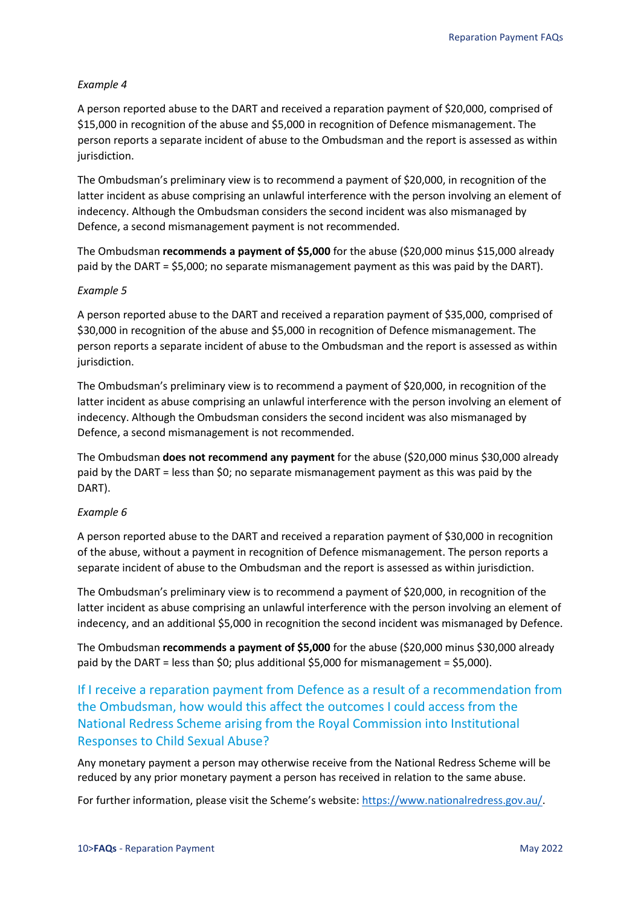#### *Example 4*

 A person reported abuse to the DART and received a reparation payment of \$20,000, comprised of \$15,000 in recognition of the abuse and \$5,000 in recognition of Defence mismanagement. The person reports a separate incident of abuse to the Ombudsman and the report is assessed as within jurisdiction.

 latter incident as abuse comprising an unlawful interference with the person involving an element of The Ombudsman's preliminary view is to recommend a payment of \$20,000, in recognition of the indecency. Although the Ombudsman considers the second incident was also mismanaged by Defence, a second mismanagement payment is not recommended.

 paid by the DART = \$5,000; no separate mismanagement payment as this was paid by the DART). The Ombudsman **recommends a payment of \$5,000** for the abuse (\$20,000 minus \$15,000 already

#### *Example 5*

 \$30,000 in recognition of the abuse and \$5,000 in recognition of Defence mismanagement. The person reports a separate incident of abuse to the Ombudsman and the report is assessed as within A person reported abuse to the DART and received a reparation payment of \$35,000, comprised of jurisdiction.

 The Ombudsman's preliminary view is to recommend a payment of \$20,000, in recognition of the latter incident as abuse comprising an unlawful interference with the person involving an element of indecency. Although the Ombudsman considers the second incident was also mismanaged by Defence, a second mismanagement is not recommended.

The Ombudsman **does not recommend any payment** for the abuse (\$20,000 minus \$30,000 already paid by the DART = less than \$0; no separate mismanagement payment as this was paid by the DART).

#### *Example 6*

 A person reported abuse to the DART and received a reparation payment of \$30,000 in recognition separate incident of abuse to the Ombudsman and the report is assessed as within jurisdiction. of the abuse, without a payment in recognition of Defence mismanagement. The person reports a

 The Ombudsman's preliminary view is to recommend a payment of \$20,000, in recognition of the latter incident as abuse comprising an unlawful interference with the person involving an element of indecency, and an additional \$5,000 in recognition the second incident was mismanaged by Defence.

 paid by the DART = less than \$0; plus additional \$5,000 for mismanagement = \$5,000). The Ombudsman **recommends a payment of \$5,000** for the abuse (\$20,000 minus \$30,000 already

<span id="page-9-0"></span>If I receive a reparation payment from Defence as a result of a recommendation from the Ombudsman, how would this affect the outcomes I could access from the National Redress Scheme arising from the Royal Commission into Institutional Responses to Child Sexual Abuse?

 Any monetary payment a person may otherwise receive from the National Redress Scheme will be reduced by any prior monetary payment a person has received in relation to the same abuse.

For further information, please visit the Scheme's website: [https://www.nationalredress.gov.au/](https://www.nationalredress.gov.au).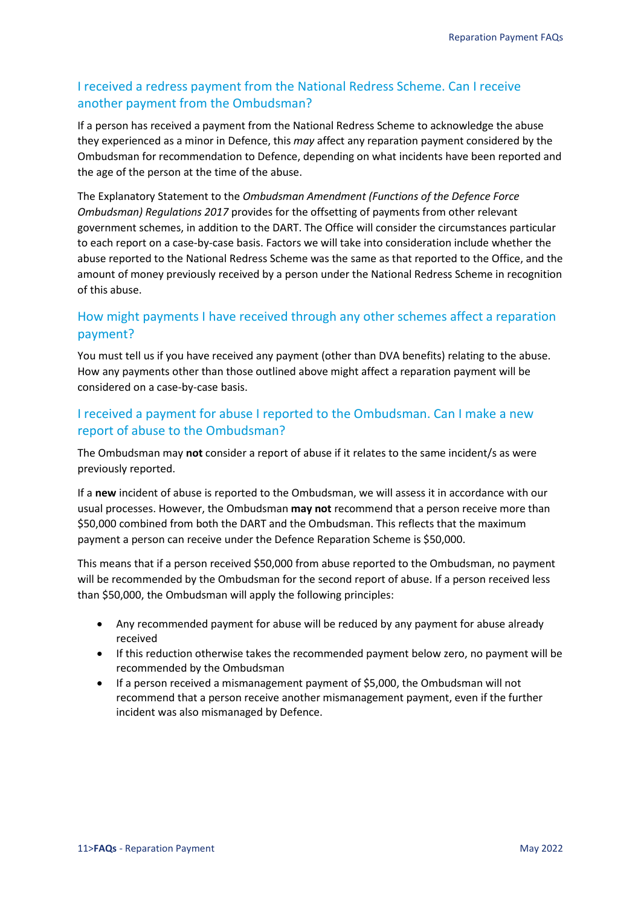# <span id="page-10-0"></span>I received a redress payment from the National Redress Scheme. Can I receive another payment from the Ombudsman?

If a person has received a payment from the National Redress Scheme to acknowledge the abuse they experienced as a minor in Defence, this *may* affect any reparation payment considered by the Ombudsman for recommendation to Defence, depending on what incidents have been reported and the age of the person at the time of the abuse.

The Explanatory Statement to the *Ombudsman Amendment (Functions of the Defence Force Ombudsman) Regulations 2017* provides for the offsetting of payments from other relevant government schemes, in addition to the DART. The Office will consider the circumstances particular to each report on a case-by-case basis. Factors we will take into consideration include whether the abuse reported to the National Redress Scheme was the same as that reported to the Office, and the amount of money previously received by a person under the National Redress Scheme in recognition of this abuse.

# <span id="page-10-1"></span>How might payments I have received through any other schemes affect a reparation payment?

 How any payments other than those outlined above might affect a reparation payment will be You must tell us if you have received any payment (other than DVA benefits) relating to the abuse. considered on a case-by-case basis.

# <span id="page-10-2"></span> report of abuse to the Ombudsman? I received a payment for abuse I reported to the Ombudsman. Can I make a new

The Ombudsman may **not** consider a report of abuse if it relates to the same incident/s as were previously reported.

 If a **new** incident of abuse is reported to the Ombudsman, we will assess it in accordance with our usual processes. However, the Ombudsman **may not** recommend that a person receive more than \$50,000 combined from both the DART and the Ombudsman. This reflects that the maximum payment a person can receive under the Defence Reparation Scheme is \$50,000.

 will be recommended by the Ombudsman for the second report of abuse. If a person received less This means that if a person received \$50,000 from abuse reported to the Ombudsman, no payment than \$50,000, the Ombudsman will apply the following principles:

- Any recommended payment for abuse will be reduced by any payment for abuse already received
- • If this reduction otherwise takes the recommended payment below zero, no payment will be recommended by the Ombudsman
- • If a person received a mismanagement payment of \$5,000, the Ombudsman will not recommend that a person receive another mismanagement payment, even if the further incident was also mismanaged by Defence.